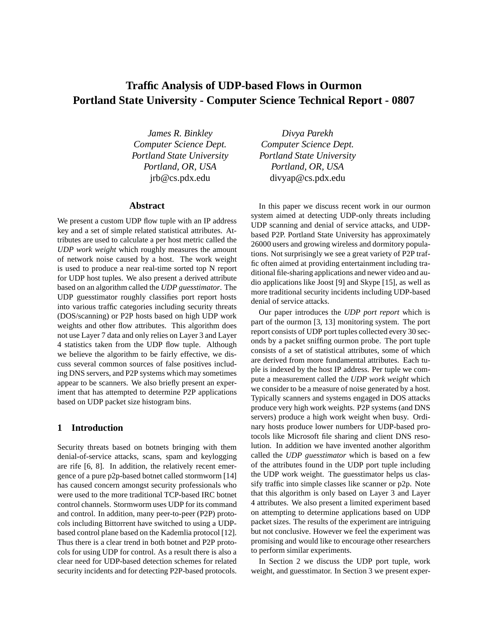# **Traffic Analysis of UDP-based Flows in Ourmon Portland State University - Computer Science Technical Report - 0807**

*James R. Binkley Computer Science Dept. Portland State University Portland, OR, USA* jrb@cs.pdx.edu

## **Abstract**

We present a custom UDP flow tuple with an IP address key and a set of simple related statistical attributes. Attributes are used to calculate a per host metric called the *UDP work weight* which roughly measures the amount of network noise caused by a host. The work weight is used to produce a near real-time sorted top N report for UDP host tuples. We also present a derived attribute based on an algorithm called the *UDP guesstimator*. The UDP guesstimator roughly classifies port report hosts into various traffic categories including security threats (DOS/scanning) or P2P hosts based on high UDP work weights and other flow attributes. This algorithm does not use Layer 7 data and only relies on Layer 3 and Layer 4 statistics taken from the UDP flow tuple. Although we believe the algorithm to be fairly effective, we discuss several common sources of false positives including DNS servers, and P2P systems which may sometimes appear to be scanners. We also briefly present an experiment that has attempted to determine P2P applications based on UDP packet size histogram bins.

### **1 Introduction**

Security threats based on botnets bringing with them denial-of-service attacks, scans, spam and keylogging are rife [6, 8]. In addition, the relatively recent emergence of a pure p2p-based botnet called stormworm [14] has caused concern amongst security professionals who were used to the more traditional TCP-based IRC botnet control channels. Stormworm uses UDP for its command and control. In addition, many peer-to-peer (P2P) protocols including Bittorrent have switched to using a UDPbased control plane based on the Kademlia protocol [12]. Thus there is a clear trend in both botnet and P2P protocols for using UDP for control. As a result there is also a clear need for UDP-based detection schemes for related security incidents and for detecting P2P-based protocols.

*Divya Parekh Computer Science Dept. Portland State University Portland, OR, USA* divyap@cs.pdx.edu

In this paper we discuss recent work in our ourmon system aimed at detecting UDP-only threats including UDP scanning and denial of service attacks, and UDPbased P2P. Portland State University has approximately 26000 users and growing wireless and dormitory populations. Not surprisingly we see a great variety of P2P traffic often aimed at providing entertainment including traditional file-sharing applications and newer video and audio applications like Joost [9] and Skype [15], as well as more traditional security incidents including UDP-based denial of service attacks.

Our paper introduces the *UDP port report* which is part of the ourmon [3, 13] monitoring system. The port report consists of UDP port tuples collected every 30 seconds by a packet sniffing ourmon probe. The port tuple consists of a set of statistical attributes, some of which are derived from more fundamental attributes. Each tuple is indexed by the host IP address. Per tuple we compute a measurement called the *UDP work weight* which we consider to be a measure of noise generated by a host. Typically scanners and systems engaged in DOS attacks produce very high work weights. P2P systems (and DNS servers) produce a high work weight when busy. Ordinary hosts produce lower numbers for UDP-based protocols like Microsoft file sharing and client DNS resolution. In addition we have invented another algorithm called the *UDP guesstimator* which is based on a few of the attributes found in the UDP port tuple including the UDP work weight. The guesstimator helps us classify traffic into simple classes like scanner or p2p. Note that this algorithm is only based on Layer 3 and Layer 4 attributes. We also present a limited experiment based on attempting to determine applications based on UDP packet sizes. The results of the experiment are intriguing but not conclusive. However we feel the experiment was promising and would like to encourage other researchers to perform similar experiments.

In Section 2 we discuss the UDP port tuple, work weight, and guesstimator. In Section 3 we present exper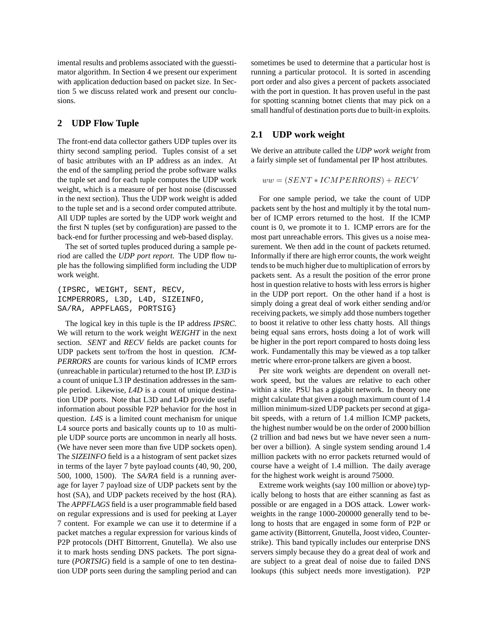imental results and problems associated with the guesstimator algorithm. In Section 4 we present our experiment with application deduction based on packet size. In Section 5 we discuss related work and present our conclusions.

## **2 UDP Flow Tuple**

The front-end data collector gathers UDP tuples over its thirty second sampling period. Tuples consist of a set of basic attributes with an IP address as an index. At the end of the sampling period the probe software walks the tuple set and for each tuple computes the UDP work weight, which is a measure of per host noise (discussed in the next section). Thus the UDP work weight is added to the tuple set and is a second order computed attribute. All UDP tuples are sorted by the UDP work weight and the first N tuples (set by configuration) are passed to the back-end for further processing and web-based display.

The set of sorted tuples produced during a sample period are called the *UDP port report*. The UDP flow tuple has the following simplified form including the UDP work weight.

```
(IPSRC, WEIGHT, SENT, RECV,
ICMPERRORS, L3D, L4D, SIZEINFO,
SA/RA, APPFLAGS, PORTSIG}
```
The logical key in this tuple is the IP address *IPSRC*. We will return to the work weight *WEIGHT* in the next section. *SENT* and *RECV* fields are packet counts for UDP packets sent to/from the host in question. *ICM-PERRORS* are counts for various kinds of ICMP errors (unreachable in particular) returned to the host IP. *L3D* is a count of unique L3 IP destination addresses in the sample period. Likewise, *L4D* is a count of unique destination UDP ports. Note that L3D and L4D provide useful information about possible P2P behavior for the host in question. *L4S* is a limited count mechanism for unique L4 source ports and basically counts up to 10 as multiple UDP source ports are uncommon in nearly all hosts. (We have never seen more than five UDP sockets open). The *SIZEINFO* field is a a histogram of sent packet sizes in terms of the layer 7 byte payload counts (40, 90, 200, 500, 1000, 1500). The *SA/RA* field is a running average for layer 7 payload size of UDP packets sent by the host (SA), and UDP packets received by the host (RA). The *APPFLAGS* field is a user programmable field based on regular expressions and is used for peeking at Layer 7 content. For example we can use it to determine if a packet matches a regular expression for various kinds of P2P protocols (DHT Bittorrent, Gnutella). We also use it to mark hosts sending DNS packets. The port signature (*PORTSIG*) field is a sample of one to ten destination UDP ports seen during the sampling period and can sometimes be used to determine that a particular host is running a particular protocol. It is sorted in ascending port order and also gives a percent of packets associated with the port in question. It has proven useful in the past for spotting scanning botnet clients that may pick on a small handful of destination ports due to built-in exploits.

#### **2.1 UDP work weight**

We derive an attribute called the *UDP work weight* from a fairly simple set of fundamental per IP host attributes.

$$
ww = (SENT * ICMPERRORS) + RECV
$$

For one sample period, we take the count of UDP packets sent by the host and multiply it by the total number of ICMP errors returned to the host. If the ICMP count is 0, we promote it to 1. ICMP errors are for the most part unreachable errors. This gives us a noise measurement. We then add in the count of packets returned. Informally if there are high error counts, the work weight tends to be much higher due to multiplication of errors by packets sent. As a result the position of the error prone host in question relative to hosts with less errors is higher in the UDP port report. On the other hand if a host is simply doing a great deal of work either sending and/or receiving packets, we simply add those numbers together to boost it relative to other less chatty hosts. All things being equal sans errors, hosts doing a lot of work will be higher in the port report compared to hosts doing less work. Fundamentally this may be viewed as a top talker metric where error-prone talkers are given a boost.

Per site work weights are dependent on overall network speed, but the values are relative to each other within a site. PSU has a gigabit network. In theory one might calculate that given a rough maximum count of 1.4 million minimum-sized UDP packets per second at gigabit speeds, with a return of 1.4 million ICMP packets, the highest number would be on the order of 2000 billion (2 trillion and bad news but we have never seen a number over a billion). A single system sending around 1.4 million packets with no error packets returned would of course have a weight of 1.4 million. The daily average for the highest work weight is around 75000.

Extreme work weights (say 100 million or above) typically belong to hosts that are either scanning as fast as possible or are engaged in a DOS attack. Lower workweights in the range 1000-200000 generally tend to belong to hosts that are engaged in some form of P2P or game activity (Bittorrent, Gnutella, Joost video, Counterstrike). This band typically includes our enterprise DNS servers simply because they do a great deal of work and are subject to a great deal of noise due to failed DNS lookups (this subject needs more investigation). P2P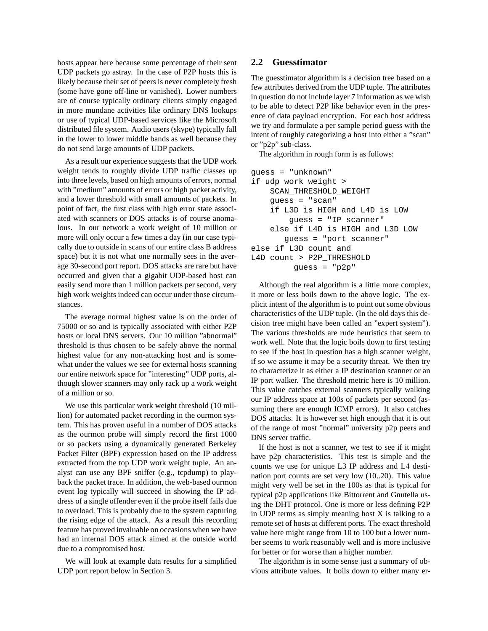hosts appear here because some percentage of their sent UDP packets go astray. In the case of P2P hosts this is likely because their set of peers is never completely fresh (some have gone off-line or vanished). Lower numbers are of course typically ordinary clients simply engaged in more mundane activities like ordinary DNS lookups or use of typical UDP-based services like the Microsoft distributed file system. Audio users (skype) typically fall in the lower to lower middle bands as well because they do not send large amounts of UDP packets.

As a result our experience suggests that the UDP work weight tends to roughly divide UDP traffic classes up into three levels, based on high amounts of errors, normal with "medium" amounts of errors or high packet activity, and a lower threshold with small amounts of packets. In point of fact, the first class with high error state associated with scanners or DOS attacks is of course anomalous. In our network a work weight of 10 million or more will only occur a few times a day (in our case typically due to outside in scans of our entire class B address space) but it is not what one normally sees in the average 30-second port report. DOS attacks are rare but have occurred and given that a gigabit UDP-based host can easily send more than 1 million packets per second, very high work weights indeed can occur under those circumstances.

The average normal highest value is on the order of 75000 or so and is typically associated with either P2P hosts or local DNS servers. Our 10 million "abnormal" threshold is thus chosen to be safely above the normal highest value for any non-attacking host and is somewhat under the values we see for external hosts scanning our entire network space for "interesting" UDP ports, although slower scanners may only rack up a work weight of a million or so.

We use this particular work weight threshold (10 million) for automated packet recording in the ourmon system. This has proven useful in a number of DOS attacks as the ourmon probe will simply record the first 1000 or so packets using a dynamically generated Berkeley Packet Filter (BPF) expression based on the IP address extracted from the top UDP work weight tuple. An analyst can use any BPF sniffer (e.g., tcpdump) to playback the packet trace. In addition, the web-based ourmon event log typically will succeed in showing the IP address of a single offender even if the probe itself fails due to overload. This is probably due to the system capturing the rising edge of the attack. As a result this recording feature has proved invaluable on occasions when we have had an internal DOS attack aimed at the outside world due to a compromised host.

We will look at example data results for a simplified UDP port report below in Section 3.

#### **2.2 Guesstimator**

The guesstimator algorithm is a decision tree based on a few attributes derived from the UDP tuple. The attributes in question do not include layer 7 information as we wish to be able to detect P2P like behavior even in the presence of data payload encryption. For each host address we try and formulate a per sample period guess with the intent of roughly categorizing a host into either a "scan" or "p2p" sub-class.

The algorithm in rough form is as follows:

```
guess = "unknown"
if udp work weight >
    SCAN_THRESHOLD_WEIGHT
    guess = "scan"
    if L3D is HIGH and L4D is LOW
        guess = "IP scanner"
    else if L4D is HIGH and L3D LOW
       guess = "port scanner"
else if L3D count and
L4D count > P2P_THRESHOLD
         guess = "p2p"
```
Although the real algorithm is a little more complex, it more or less boils down to the above logic. The explicit intent of the algorithm is to point out some obvious characteristics of the UDP tuple. (In the old days this decision tree might have been called an "expert system"). The various thresholds are rude heuristics that seem to work well. Note that the logic boils down to first testing to see if the host in question has a high scanner weight, if so we assume it may be a security threat. We then try to characterize it as either a IP destination scanner or an IP port walker. The threshold metric here is 10 million. This value catches external scanners typically walking our IP address space at 100s of packets per second (assuming there are enough ICMP errors). It also catches DOS attacks. It is however set high enough that it is out of the range of most "normal" university p2p peers and DNS server traffic.

If the host is not a scanner, we test to see if it might have p2p characteristics. This test is simple and the counts we use for unique L3 IP address and L4 destination port counts are set very low (10..20). This value might very well be set in the 100s as that is typical for typical p2p applications like Bittorrent and Gnutella using the DHT protocol. One is more or less defining P2P in UDP terms as simply meaning host  $X$  is talking to a remote set of hosts at different ports. The exact threshold value here might range from 10 to 100 but a lower number seems to work reasonably well and is more inclusive for better or for worse than a higher number.

The algorithm is in some sense just a summary of obvious attribute values. It boils down to either many er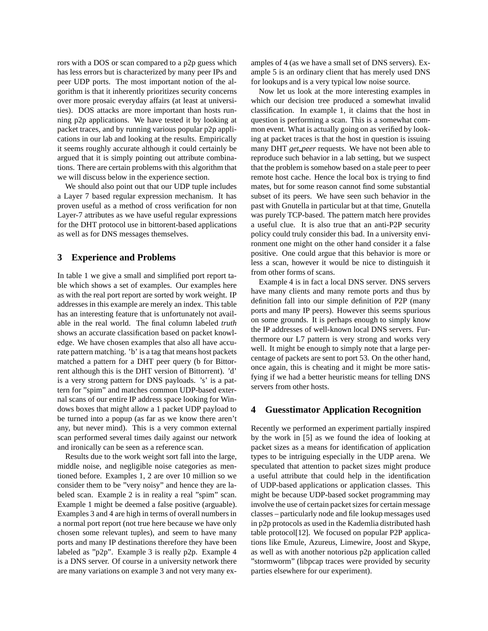rors with a DOS or scan compared to a p2p guess which has less errors but is characterized by many peer IPs and peer UDP ports. The most important notion of the algorithm is that it inherently prioritizes security concerns over more prosaic everyday affairs (at least at universities). DOS attacks are more important than hosts running p2p applications. We have tested it by looking at packet traces, and by running various popular p2p applications in our lab and looking at the results. Empirically it seems roughly accurate although it could certainly be argued that it is simply pointing out attribute combinations. There are certain problems with this algorithm that we will discuss below in the experience section.

We should also point out that our UDP tuple includes a Layer 7 based regular expression mechanism. It has proven useful as a method of cross verification for non Layer-7 attributes as we have useful regular expressions for the DHT protocol use in bittorent-based applications as well as for DNS messages themselves.

### **3 Experience and Problems**

In table 1 we give a small and simplified port report table which shows a set of examples. Our examples here as with the real port report are sorted by work weight. IP addresses in this example are merely an index. This table has an interesting feature that is unfortunately not available in the real world. The final column labeled *truth* shows an accurate classification based on packet knowledge. We have chosen examples that also all have accurate pattern matching. 'b' is a tag that means host packets matched a pattern for a DHT peer query (b for Bittorrent although this is the DHT version of Bittorrent). 'd' is a very strong pattern for DNS payloads. 's' is a pattern for "spim" and matches common UDP-based external scans of our entire IP address space looking for Windows boxes that might allow a 1 packet UDP payload to be turned into a popup (as far as we know there aren't any, but never mind). This is a very common external scan performed several times daily against our network and ironically can be seen as a reference scan.

Results due to the work weight sort fall into the large, middle noise, and negligible noise categories as mentioned before. Examples 1, 2 are over 10 million so we consider them to be "very noisy" and hence they are labeled scan. Example 2 is in reality a real "spim" scan. Example 1 might be deemed a false positive (arguable). Examples 3 and 4 are high in terms of overall numbers in a normal port report (not true here because we have only chosen some relevant tuples), and seem to have many ports and many IP destinations therefore they have been labeled as "p2p". Example 3 is really p2p. Example 4 is a DNS server. Of course in a university network there are many variations on example 3 and not very many examples of 4 (as we have a small set of DNS servers). Example 5 is an ordinary client that has merely used DNS for lookups and is a very typical low noise source.

Now let us look at the more interesting examples in which our decision tree produced a somewhat invalid classification. In example 1, it claims that the host in question is performing a scan. This is a somewhat common event. What is actually going on as verified by looking at packet traces is that the host in question is issuing many DHT *get peer* requests. We have not been able to reproduce such behavior in a lab setting, but we suspect that the problem is somehow based on a stale peer to peer remote host cache. Hence the local box is trying to find mates, but for some reason cannot find some substantial subset of its peers. We have seen such behavior in the past with Gnutella in particular but at that time, Gnutella was purely TCP-based. The pattern match here provides a useful clue. It is also true that an anti-P2P security policy could truly consider this bad. In a university environment one might on the other hand consider it a false positive. One could argue that this behavior is more or less a scan, however it would be nice to distinguish it from other forms of scans.

Example 4 is in fact a local DNS server. DNS servers have many clients and many remote ports and thus by definition fall into our simple definition of P2P (many ports and many IP peers). However this seems spurious on some grounds. It is perhaps enough to simply know the IP addresses of well-known local DNS servers. Furthermore our L7 pattern is very strong and works very well. It might be enough to simply note that a large percentage of packets are sent to port 53. On the other hand, once again, this is cheating and it might be more satisfying if we had a better heuristic means for telling DNS servers from other hosts.

### **4 Guesstimator Application Recognition**

Recently we performed an experiment partially inspired by the work in [5] as we found the idea of looking at packet sizes as a means for identification of application types to be intriguing especially in the UDP arena. We speculated that attention to packet sizes might produce a useful attribute that could help in the identification of UDP-based applications or application classes. This might be because UDP-based socket programming may involve the use of certain packet sizes for certain message classes – particularly node and file lookup messages used in p2p protocols as used in the Kademlia distributed hash table protocol[12]. We focused on popular P2P applications like Emule, Azureus, Limewire, Joost and Skype, as well as with another notorious p2p application called "stormworm" (libpcap traces were provided by security parties elsewhere for our experiment).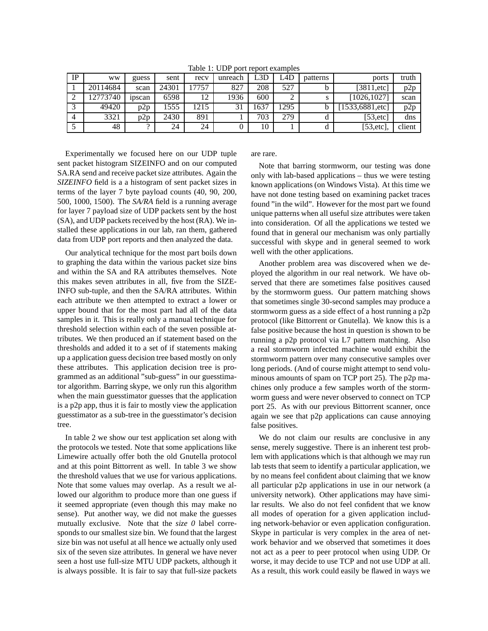| IP | <b>WW</b> | guess  | sent  | recy | unreach | L3D  | L4D. | patterns | ports          | truth  |
|----|-----------|--------|-------|------|---------|------|------|----------|----------------|--------|
|    | 20114684  | scan   | 24301 | 7757 | 827     | 208  | 527  |          | [3811, $etc$ ] | p2p    |
|    | 12773740  | ipscan | 6598  | 12   | 1936    | 600  |      |          | [1026, 1027]   | scan   |
|    | 49420     | p2p    | 1555  | 1215 |         | 1637 | 1295 |          | 1533,6881,etc  | p2p    |
| 4  | 3321      | p2p    | 2430  | 891  |         | 703  | 279  |          | [53, etc]      | dns    |
|    | 48        |        | 24    | 24   |         | 10   |      |          | [53, etc]      | client |

Table 1: UDP port report examples

Experimentally we focused here on our UDP tuple sent packet histogram SIZEINFO and on our computed SA.RA send and receive packet size attributes. Again the *SIZEINFO* field is a a histogram of sent packet sizes in terms of the layer 7 byte payload counts (40, 90, 200, 500, 1000, 1500). The *SA/RA* field is a running average for layer 7 payload size of UDP packets sent by the host (SA), and UDP packets received by the host (RA). We installed these applications in our lab, ran them, gathered data from UDP port reports and then analyzed the data.

Our analytical technique for the most part boils down to graphing the data within the various packet size bins and within the SA and RA attributes themselves. Note this makes seven attributes in all, five from the SIZE-INFO sub-tuple, and then the SA/RA attributes. Within each attribute we then attempted to extract a lower or upper bound that for the most part had all of the data samples in it. This is really only a manual technique for threshold selection within each of the seven possible attributes. We then produced an if statement based on the thresholds and added it to a set of if statements making up a application guess decision tree based mostly on only these attributes. This application decision tree is programmed as an additional "sub-guess" in our guesstimator algorithm. Barring skype, we only run this algorithm when the main guesstimator guesses that the application is a p2p app, thus it is fair to mostly view the application guesstimator as a sub-tree in the guesstimator's decision tree.

In table 2 we show our test application set along with the protocols we tested. Note that some applications like Limewire actually offer both the old Gnutella protocol and at this point Bittorrent as well. In table 3 we show the threshold values that we use for various applications. Note that some values may overlap. As a result we allowed our algorithm to produce more than one guess if it seemed appropriate (even though this may make no sense). Put another way, we did not make the guesses mutually exclusive. Note that the *size 0* label corresponds to our smallest size bin. We found that the largest size bin was not useful at all hence we actually only used six of the seven size attributes. In general we have never seen a host use full-size MTU UDP packets, although it is always possible. It is fair to say that full-size packets are rare.

Note that barring stormworm, our testing was done only with lab-based applications – thus we were testing known applications (on Windows Vista). At this time we have not done testing based on examining packet traces found "in the wild". However for the most part we found unique patterns when all useful size attributes were taken into consideration. Of all the applications we tested we found that in general our mechanism was only partially successful with skype and in general seemed to work well with the other applications.

Another problem area was discovered when we deployed the algorithm in our real network. We have observed that there are sometimes false positives caused by the stormworm guess. Our pattern matching shows that sometimes single 30-second samples may produce a stormworm guess as a side effect of a host running a p2p protocol (like Bittorrent or Gnutella). We know this is a false positive because the host in question is shown to be running a p2p protocol via L7 pattern matching. Also a real stormworm infected machine would exhibit the stormworm pattern over many consecutive samples over long periods. (And of course might attempt to send voluminous amounts of spam on TCP port 25). The p2p machines only produce a few samples worth of the stormworm guess and were never observed to connect on TCP port 25. As with our previous Bittorrent scanner, once again we see that p2p applications can cause annoying false positives.

We do not claim our results are conclusive in any sense, merely suggestive. There is an inherent test problem with applications which is that although we may run lab tests that seem to identify a particular application, we by no means feel confident about claiming that we know all particular p2p applications in use in our network (a university network). Other applications may have similar results. We also do not feel confident that we know all modes of operation for a given application including network-behavior or even application configuration. Skype in particular is very complex in the area of network behavior and we observed that sometimes it does not act as a peer to peer protocol when using UDP. Or worse, it may decide to use TCP and not use UDP at all. As a result, this work could easily be flawed in ways we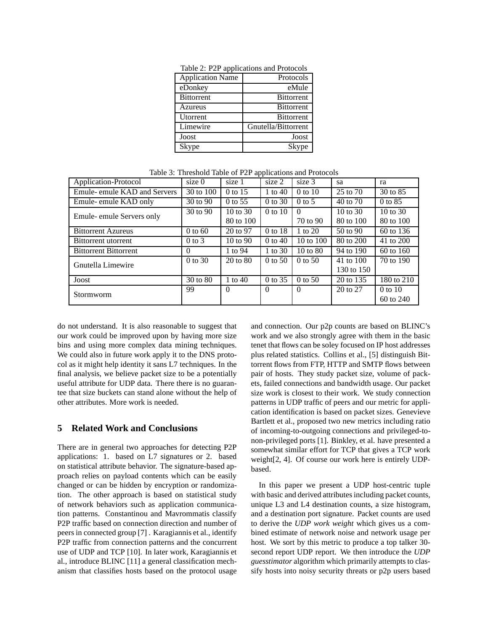| <b>Application Name</b> | Protocols           |
|-------------------------|---------------------|
| eDonkey                 | eMule               |
| <b>Bittorrent</b>       | <b>Bittorrent</b>   |
| Azureus                 | <b>Bittorrent</b>   |
| Utorrent                | <b>Bittorrent</b>   |
| Limewire                | Gnutella/Bittorrent |
| Joost                   | Joost               |
| Skype                   | Skype               |

Table 2: P2P applications and Protocols

Table 3: Threshold Table of P2P applications and Protocols

| Application-Protocol         | size $0$   | size 1              | size 2      | size 3               | sa                  | ra                  |
|------------------------------|------------|---------------------|-------------|----------------------|---------------------|---------------------|
| Emule- emule KAD and Servers | 30 to 100  | 0 to 15             | 1 to $40$   | $0$ to $10$          | 25 to 70            | 30 to 85            |
| Emule-emule KAD only         | 30 to 90   | $0$ to 55           | $0$ to 30   | $0$ to 5             | 40 to 70            | $0$ to $85$         |
| Emule-emule Servers only     | 30 to 90   | $10 \text{ to } 30$ | $0$ to $10$ | $\Omega$             | $10 \text{ to } 30$ | $10 \text{ to } 30$ |
|                              |            | 80 to 100           |             | 70 to 90             | 80 to 100           | 80 to 100           |
| <b>Bittorrent Azureus</b>    | $0$ to 60  | 20 to 97            | $0$ to 18   | 1 to $20$            | $50$ to $90$        | 60 to 136           |
| Bittorrent utorrent          | $0$ to $3$ | $10 \text{ to } 90$ | $0$ to $40$ | $10 \text{ to } 100$ | 80 to 200           | 41 to 200           |
| <b>Bittorrent Bittorrent</b> | $\Omega$   | 1 to 94             | 1 to 30     | $10 \text{ to } 80$  | 94 to 190           | 60 to 160           |
| Gnutella Limewire            | $0$ to 30  | $20 \text{ to } 80$ | $0$ to 50   | $0 \text{ to } 50$   | 41 to 100           | 70 to 190           |
|                              |            |                     |             |                      | 130 to 150          |                     |
| Joost                        | 30 to 80   | 1 to $40$           | $0$ to 35   | $0$ to 50            | 20 to 135           | 180 to 210          |
| Stormworm                    | 99         | $\Omega$            | $\theta$    | $\Omega$             | 20 to 27            | $0$ to $10$         |
|                              |            |                     |             |                      |                     | 60 to 240           |

do not understand. It is also reasonable to suggest that our work could be improved upon by having more size bins and using more complex data mining techniques. We could also in future work apply it to the DNS protocol as it might help identity it sans L7 techniques. In the final analysis, we believe packet size to be a potentially useful attribute for UDP data. There there is no guarantee that size buckets can stand alone without the help of other attributes. More work is needed.

#### **5 Related Work and Conclusions**

There are in general two approaches for detecting P2P applications: 1. based on L7 signatures or 2. based on statistical attribute behavior. The signature-based approach relies on payload contents which can be easily changed or can be hidden by encryption or randomization. The other approach is based on statistical study of network behaviors such as application communication patterns. Constantinou and Mavrommatis classify P2P traffic based on connection direction and number of peers in connected group [7] . Karagiannis et al., identify P2P traffic from connection patterns and the concurrent use of UDP and TCP [10]. In later work, Karagiannis et al., introduce BLINC [11] a general classification mechanism that classifies hosts based on the protocol usage and connection. Our p2p counts are based on BLINC's work and we also strongly agree with them in the basic tenet that flows can be soley focused on IP host addresses plus related statistics. Collins et al., [5] distinguish Bittorrent flows from FTP, HTTP and SMTP flows between pair of hosts. They study packet size, volume of packets, failed connections and bandwidth usage. Our packet size work is closest to their work. We study connection patterns in UDP traffic of peers and our metric for application identification is based on packet sizes. Genevieve Bartlett et al., proposed two new metrics including ratio of incoming-to-outgoing connections and privileged-tonon-privileged ports [1]. Binkley, et al. have presented a somewhat similar effort for TCP that gives a TCP work weight[2, 4]. Of course our work here is entirely UDPbased.

In this paper we present a UDP host-centric tuple with basic and derived attributes including packet counts, unique L3 and L4 destination counts, a size histogram, and a destination port signature. Packet counts are used to derive the *UDP work weight* which gives us a combined estimate of network noise and network usage per host. We sort by this metric to produce a top talker 30 second report UDP report. We then introduce the *UDP guesstimator* algorithm which primarily attempts to classify hosts into noisy security threats or p2p users based